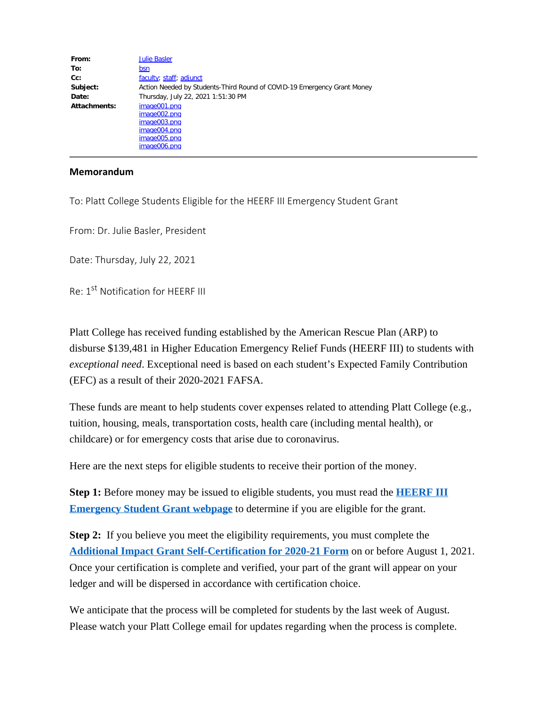| From:        | <b>Julie Basler</b>                                                                          |
|--------------|----------------------------------------------------------------------------------------------|
| To:          | bsn                                                                                          |
| $Cc$ :       | faculty; staff; adjunct                                                                      |
| Subject:     | Action Needed by Students-Third Round of COVID-19 Emergency Grant Money                      |
| Date:        | Thursday, July 22, 2021 1:51:30 PM                                                           |
| Attachments: | image001.png<br>image002.png<br>image003.pnq<br>image004.png<br>image005.pnq<br>image006.png |

## **Memorandum**

To: Platt College Students Eligible for the HEERF III Emergency Student Grant

From: Dr. Julie Basler, President

Date: Thursday, July 22, 2021

Re: 1<sup>st</sup> Notification for HFFRF III

Platt College has received funding established by the American Rescue Plan (ARP) to disburse \$139,481 in Higher Education Emergency Relief Funds (HEERF III) to students with *exceptional need*. Exceptional need is based on each student's Expected Family Contribution (EFC) as a result of their 2020-2021 FAFSA.

These funds are meant to help students cover expenses related to attending Platt College (e.g., tuition, housing, meals, transportation costs, health care (including mental health), or childcare) or for emergency costs that arise due to coronavirus.

Here are the next steps for eligible students to receive their portion of the money.

**Step 1:** Before money may be issued to eligible students, you must read the **[HEERF III](https://www.plattcolorado.edu/heerf-iii-american-rescue-plan) [Emergency Student Grant webpage](https://www.plattcolorado.edu/heerf-iii-american-rescue-plan)** to determine if you are eligible for the grant.

**Step 2:** If you believe you meet the eligibility requirements, you must complete the **[Additional Impact Grant Self-Certification for 2020-21 Form](https://www.plattcolorado.edu/form/custom-webform-3)** on or before August 1, 2021. Once your certification is complete and verified, your part of the grant will appear on your ledger and will be dispersed in accordance with certification choice.

We anticipate that the process will be completed for students by the last week of August. Please watch your Platt College email for updates regarding when the process is complete.